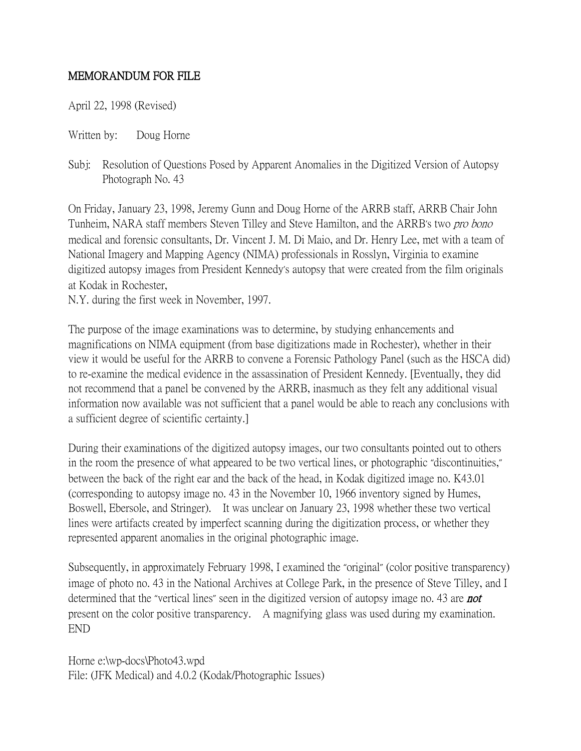## MEMORANDUM FOR FILE

April 22, 1998 (Revised)

Written by: Doug Horne

Subj: Resolution of Questions Posed by Apparent Anomalies in the Digitized Version of Autopsy Photograph No. 43

On Friday, January 23, 1998, Jeremy Gunn and Doug Horne of the ARRB staff, ARRB Chair John Tunheim, NARA staff members Steven Tilley and Steve Hamilton, and the ARRB's two *pro bono* medical and forensic consultants, Dr. Vincent J. M. Di Maio, and Dr. Henry Lee, met with a team of National Imagery and Mapping Agency (NIMA) professionals in Rosslyn, Virginia to examine digitized autopsy images from President Kennedy's autopsy that were created from the film originals at Kodak in Rochester,

N.Y. during the first week in November, 1997.

The purpose of the image examinations was to determine, by studying enhancements and magnifications on NIMA equipment (from base digitizations made in Rochester), whether in their view it would be useful for the ARRB to convene a Forensic Pathology Panel (such as the HSCA did) to re-examine the medical evidence in the assassination of President Kennedy. [Eventually, they did not recommend that a panel be convened by the ARRB, inasmuch as they felt any additional visual information now available was not sufficient that a panel would be able to reach any conclusions with a sufficient degree of scientific certainty.]

During their examinations of the digitized autopsy images, our two consultants pointed out to others in the room the presence of what appeared to be two vertical lines, or photographic "discontinuities," between the back of the right ear and the back of the head, in Kodak digitized image no. K43.01 (corresponding to autopsy image no. 43 in the November 10, 1966 inventory signed by Humes, Boswell, Ebersole, and Stringer). It was unclear on January 23, 1998 whether these two vertical lines were artifacts created by imperfect scanning during the digitization process, or whether they represented apparent anomalies in the original photographic image.

Subsequently, in approximately February 1998, I examined the "original" (color positive transparency) image of photo no. 43 in the National Archives at College Park, in the presence of Steve Tilley, and I determined that the "vertical lines" seen in the digitized version of autopsy image no. 43 are **not** present on the color positive transparency. A magnifying glass was used during my examination. END

Horne e:\wp-docs\Photo43.wpd File: (JFK Medical) and 4.0.2 (Kodak/Photographic Issues)